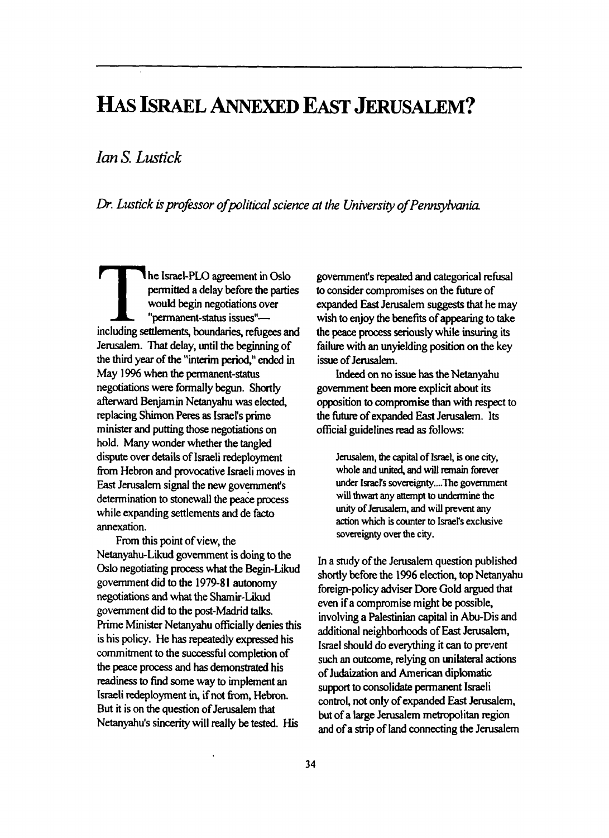## HAS **ISRAEL ANNEXED EAST JERUSALEM?**

*IanS. Lustick* 

*Dr. Lustick hpro\$ssor ofpolitical science at the University of Pennsyhania* 

**r**he Israel-PLO agreement in Oslo<br>permitted a delay before the parties The Israel-PLO agreement in Oslo<br>
permitted a delay before the parties<br>
would begin negotiations over<br>
"permanent-status issues"—<br>
including settlements, boundaries, refugees and "permanent-status issues"- Jerusalem. That delay, until the beginning of the third year of the "interim period," ended in May 1996 when the permanent-status negotiations were formally begun. Shortly afterward Benjamin Netanyahu **was** elected, replacing **Shimon** Peres **as** IsraeFs prime minister and putting those negotiations on hold. Many wonder whether the tangled dispute over details of Israeli redeployment from Hebron and provocative Israeli moves in East Jerusalem signal the new government's determination to stonewall the peace process while expanding settlements and de facto annexation.

Netanyahu-Likud government is doing to the Oslo negotiating **process** what the Begin-Likud government did to the 1979-8 **1** autonomy negotiations and what the Shamir-Likud government did *to* the **post-Madrid** talks. Prime Minister Netanyahu officially denies this is his policy. He **has** repeatedly expressed his commitment *to* the successhl completion of the **peace** process and has **demonshated** his readiness *to* find some way to implement **an**  the peace process and has demonstrated his<br>readiness to find some way to implement an<br>Israeli redeployment in, if not from, Hebron.<br>But it is an the quartian of Janual put that **But** it is on the question of Jerusalem that Netanyahu's sincerity will really be tested. His From this point of view, the

government's **repeated** and categorical refusal to consider compromises on the fitture of expanded **East** Jerusalem suggests **that** he may wish to enjoy the benefits of appearing to take the peace process seriously while **insuring** its failure with an unyielding position on the key issue of Jerusalem.

**Indeed** *on* no issue has the Netanyahu government been more explicit **about** its opposition to compromise than with respect to the future of expanded East Jerusalem. Its official guidelines **read as** follows:

Jerusalem, **the capital of Israel, is one** *city,*  **whole and** united, **and** will **remain forever under Israel's soverei gnty.... ?he government will thwart any** artempt **to undermine the**  unity **of** Jerusalem, **and will prevent any**  action **which** is counter to **Israel's exclusive**  sovereignty over the city.

In a study of the Jerusalem question published shortly before the 1996 election, top Netanyahu foreign-policy adviser Dore Gold **argued** that even if a compromise might be possible, involving a Palestinian capital in Abu-Dis and additional neighbohoods of East Jerusalem, Israel should do everything it *can to* prevent such **an** outcome, relying on unilateral **actions**  of Judaization and American diplomatic support *to* consolidate permanent Israeli control, not only of expanded East Jerusalem, but of a large Jerusalem metropolitan region and of a **sbip** of land connecting the **Jerusalem**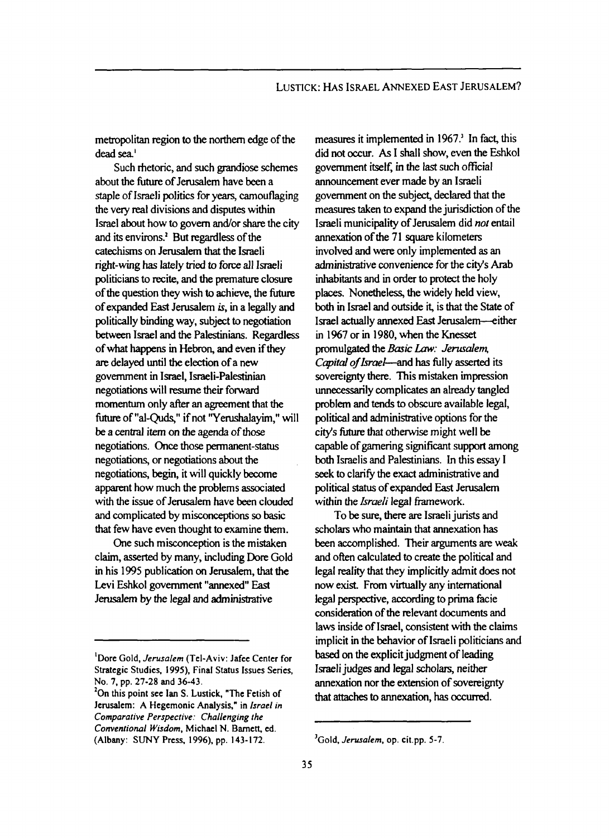metropolitan region to the northem edge of the dead *sea'* 

Such rhetoric, and such grandiose schemes about the future of Jerusalem have been a staple of Israeli politics for years, camouflaging the very real divisions and disputes within Israel about how to govern and/or share the city and its environs? **But** regardless of the catechisms on Jerusalem that the Israeli right-wing has lately tried to force all Israeli politicians to recite, and the premature closure of the question they wish to achieve, the firture of expanded East Jerusalem **is,** in a legally **and**  politically binding way, subject to negotiation between Israel and **the** Palestinians. Regardless of what **happens** in Hebron, and even if they are delayed until **the** election of a new government in Israel, Ismeli-Palestinian negotiations will resume their forward momentum only **after** an agreement that **the**  future of "al-Quds," if not "Yerushalayim," will be a *central* item on the agenda of those negotiations. *Once* those permanent-status negotiations, or negotiations **about** the negotiations, begin, it will quickly become apparent how much the problems associated with the issue of Jerusalem have been clouded and complicated by misconceptions *so* basic that few have even thought to examine them.

One such misconception is the mistaken claim, asserted by many, including Dore Gold in his 1995 publication *on* Jerusalem, **that** the Levi Eshkol government "annexed" East Jenrusalem by the legal and administrative

measures it implemented in 1967.' In fact, this did not **occur.** *As* I **shall** show, even the Eshkol government **itself,** in the last such official announcement ever made by an Israeli government on the subject, declared that the measures taken to expand the jurisdiction of the Israeli municipality of Jerusalem did *nor* entail annexation of the 71 square kilometers involved and were only implemented **as** an administrative convenience **for** the city's **Arab**  inhabitants and in **order** to protect the holy places. Nonetheless, the widely held view, both in Israel and outside it, is that the State of **Israel** actually annexed East Jerusalem-either in 1%7 **or** in 1980, when the Knesset promulgated the *Basic Law: Jerusalem.* Capital of Israel-and has fully asserted its sovereignty there. This mistaken impression unnecessarily complicates an already tangled **problem** and **tends** to obscure available legal, political and administrative options **for** the city's future that otherwise might well be capable of gamering significant support among both Israelis and Palestinians. In this essay **<sup>I</sup>** seek to clarify the exact administrative and political *status* of expanded East Jerusalem within the *Israeli* legal framework.

To be **sure,** there **are** Israeli **jurists** and scholars who maintain that annexation has been accomplished. Their arguments **are** weak and often calculated to create the political and legal reality that they implicitly admit does not now exist. From virtually any international legal perspective, according to prima facie considemtion of the relevant documents and laws inside of Israel, consistent with the claims implicit in the behavior of Israeli politicians and based on the explicit judgment of leading **Israeli** judges and legal **scholars,** neither annexation nor the extension **of** sovereignty that **attaches** to annexation, **has** occurred.

**<sup>&#</sup>x27;Dore Gold,** *Jerusalem* **(Tel-Aviv: Jafee Center for Strategic Studies, 1995), Final Status Issues Series, NO. 7, pp. 27-28 and 36-43.** 

**On this point see Ian S. Lustick, "The Fetish of 2 Jerusalem: A Hegemonic Analysis," in** *fsrael in Comparative Perspective: Challenging the Conventional Wisdom,* **Michael N. Barnett, ed. (Albany: SUNY Press.** *1996),* **pp. 143-172.** 

**<sup>&#</sup>x27;Gold,** *Jerusalem,* **op. cit.pp. 5-7.**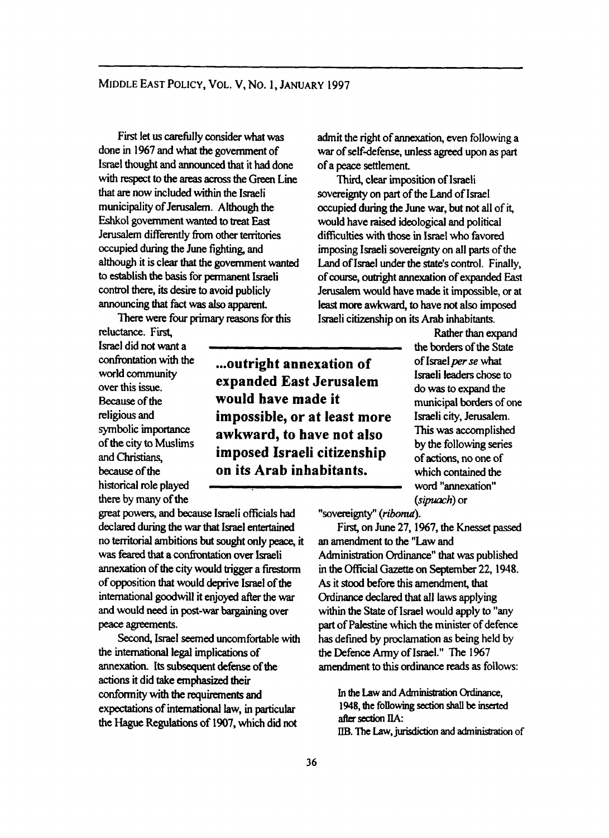First let us carehlly consider what was done in 1967 and what the government of Israel thought and announced that it had done with mpect to the areas across the **Green** Line **that** *art* now included within the Israeli municipality of Jerusalem. Although the Eshkol government wanted to **treat East**  Jerusalem differently from other territories occupied during the June fighting, and although it is clear **that** the govemment **wanted**  to establish **the** basis for permanent Israeli control there, its desire to avoid publicly announcing that fact was also apparent.

There **were** four *primary* **reasons** for this

**reluctance. First, Ismel** did not want a confrontation with the world community over this issue. Because of the religious and<br>symbolic importance historical role played there by many of the

*great* powers, and because Israeli officials had declared during the war that Israel entertained no territorial ambitions **but** sought only peace, it was feared that a confrontation over Israeli annexation of the city would trigger a firestorm of opposition that would deprive Israel of **the**  international goodwill it enjoyed after the war **and** would need in **post-war** bargaining over peace agreements.

the international legal implications of annexation. **Its** subsequent **defense** of the **actions** it did **take** emphasized *their*  conformity with the requirements and expectations of intemational law, in particular the Hague Regulations of 1907, which did **not**  Second, Israel seemed uncomfortable with

... **outright annexation of expanded East Jerusalem would have made it impossible, or at least more**  symbolic importance **awkward, to have not also**<br>of the city to Muslims **imposed Israeli citizenship andChristians, imposed Israeli citizenship**  because of the **on its Arab inhabitants.** 

admit the right of annexation, even following a war of self-defense, unless **agreed** upon **as part**  of a peace settlement

~ ~ ~~

**Third,** clear imposition of Israeli sovereignty on part of the Land of **Israel**  occupied during the June war, but not all of it, would have raised ideological and political difficulties with **those** in Israel who favored imposing Israeli sovereignty on all parts of the Land of Israel under the **state's** control. Finally, of **course,** outright annexation of expanded East Jerusalem would have made it impossible, or at least **more** awkward, to have not also imposed Israeli citizenship on its Arab inhabitants.

> Rather than expand **the** borders of **the** state of Israel per se what Israeli leaders chose to do was to expand the municipal borders of one Israeli city, Jerusalem. This was accomplished by the following series of actions, no one of which contained **the**  word "annexation" *(sipwch)* or

"sovereignty" (ribonut).

First, on June 27, 1967, the Knesset passed **an** amendment to the "Law and Administration **Ordinance"** that was published in the official **Gazette** on September 22,1948. **As** it stood before this amendment, **that**  Ordinance declared that all laws applying within the **State** of Israel would apply to "any part of Palestine which the minister of defence has defined by proclamation **as** being held by the Defence Army of Israel." The 1967 amendment to **this ordinance reads as** follows:

In the Law and Administration Ordinance, **1948,** the following *Section* shall **be** insated after section IIA: IIB. Tbe **Law,jurisdiction** and **adminismion** of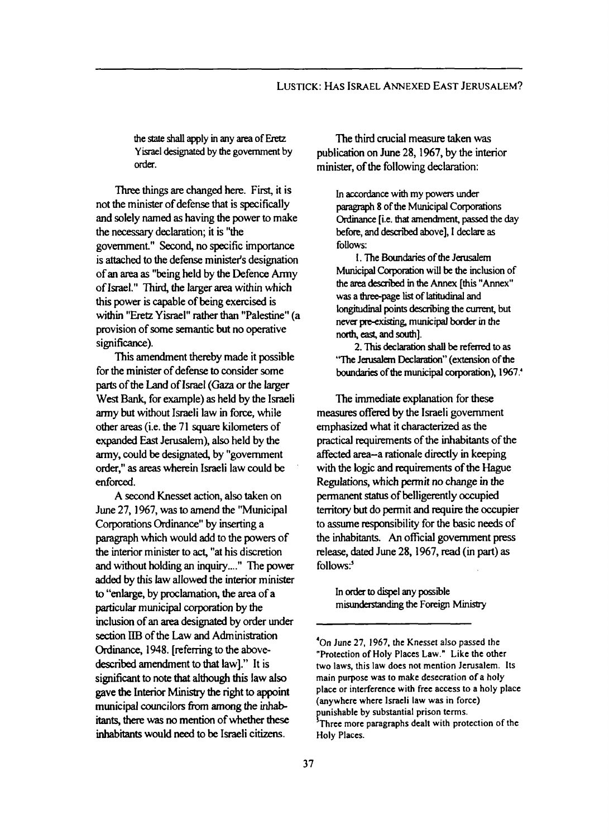## LUSTICK: **HAS** ISRAEL ANNEXED EAST JERUSALEM?

**the** *state shall* **apply many area of& Yisrael** designated **by the** government **by**  order.

'Ihree things **are** changed here. **First,** it is not the minister of defense that is specifically and solely **named as** having the power to make the necessary declaration; it is "the government" Second, no specific **importance**  is attached to the defense minister's designation of an **area as** "being held by the Defence Army of Israel." Third, the larger **area** within which this power is capable of being exercised is within "Eretz Yisrael" rather than "Palestine" (a provision of some semantic but no operative significance).

for the minister of defense to consider some **parts** of the Land of **Israel (Gaza** or the larger **West Bank,** for example) **as** held by the Israeli army but without Israeli law in force, while other areas (i.e. the **71** square kilometers of expanded East Jenrsalem), also held by the army, could be designated, by "government **order," as** areas wherein Israeli law could be **enforced.**  This amendment thereby made it possible

**A** second Knesset action, also taken on June **27,1967, was** to amend the "Municipal Corporations **Ordinance"** by inserting a paragraph which would add to the powers of the interior minister to **act,** *"at* his discretion and without holding an inquiry...." The power added by this law allowed the interior minister to "enlarge, by proclamation, the **area** of a particular municipal corporation by the inclusion of an **area** designated by order **under**  section IIB of the Law and Administration *Ordinance,* **1948.** [referring to the abovedescribed amendment to that law]." It is sigruficant to **note** that although this law **also gave the Interior Ministry** the right to appoint municipal councilors from among the inhabitants, there was no mention of whether these inhabitants would need to be Israeli citizens.

The **third** crucial measure taken was publication on June **28,1967,** by the interior minister, of the following declaration:

> **In** accordance **with my powers under**  paragraph **8 of the** Municipal **Corporations**  *Ordinance* [i.e. **that amendmenf** passed **the day before, and descn'bed above], I declare as follows:**

**1. The** Boundaries **of the Jerusalem Municipal Corporation will be the** inclusion **of**  the area described in the Annex [this "Annex" was a three-page list of latitudinal and longitudinal points describing the current, but **never** peexisting, municipal border in **the**  north, east, and south].

2. This declaration shall be referred to as **'The** Jdem **Declaration"** (extension of **the**  boundaries of the municipal corporation), 1967.<sup>4</sup>

The immediate explanation for these measures offered by the Israeli government emphasized what it characterized **as** the practical requirements of the inhabitants of the affected area-a rationale directly in keeping with the logic and requirements of the Hague Regulations, which permit no **change in** the permanent *status* of belligerently occupied territory but do permit and require the occupier to assume responsibility for the basic needs of the inhabitants. *An* official government press release, dated June **28,1967, read** (in **part) as**  follows:<sup>5</sup>

In order to dispel any possible **misunderstanding the Foreign Ministry** 

'

**<sup>&#</sup>x27;On June 27, 1967, the Knesset also passed the "Protection of Holy Places Law." Like the other**  two **laws, this law does not mention Jerusalem. Its main purpose was to make desecration of a holy place** or **interference with free access to a holy place (anywhere where Israeli law was in force) punishable by substantial prison terms. Three more paragraphs dealt with protection of the Holy Places.**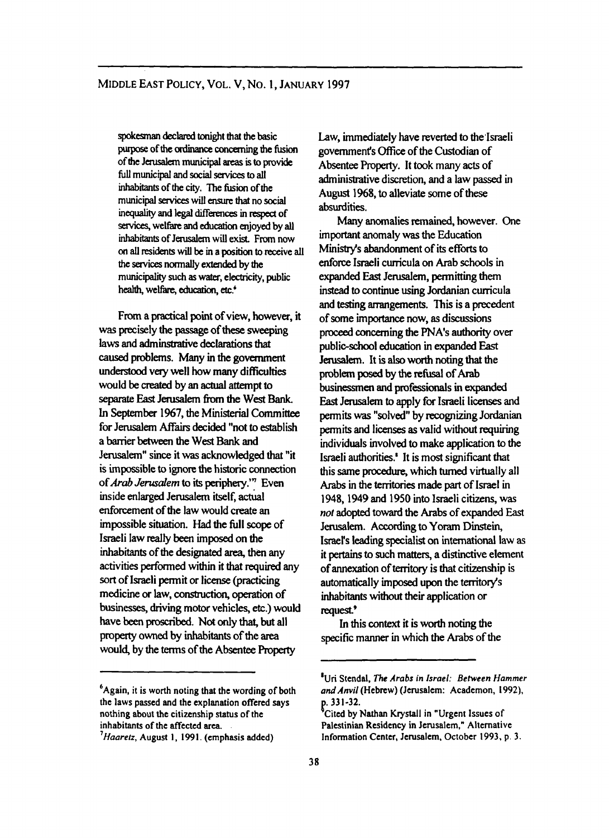*spokesman khred* **tonight that the basic**  purpose **of** the ordinance **concerning the** fusion **of the J&m municipal** areas **is to** provide **full municipal and social** *seavices* **to all**  inhabitants **of the city. The hion of the municipal** *services* **will** ensure that **no social**  inequality and legal differences in respect of **services, welfare and education enjoyed by all** inhabitants **of** Jerusalem **will** *exist* **From now on all residents** will **be in aposition to receive** all **the** *services normally* **extended by the municipality** *such* **as** water, **electricity, public**  health, welfare, education, etc.<sup>\*</sup>

From a practical point of view, however, it was precisely the passage of these sweeping laws and adminstrative declarations that caused problems. Many in the government understood very well how many difficulties would be *created* by an **actual** attempt to **sepamte** East Jerusalem **hm** the **West** Bank. In **September 1967,** the Ministerial *Committee*  for Jenysalem *Affairs decided* "not to establish a banier **between** the **West Bank** and Jerusalem" since it was acknowledged that "it is impossible to ignore the historic connection of *Arab Jerusalem* to its periphery." Even inside enlarged Jerusalem itself, actual enforcement of the law would create an impossible situation. **Had** the **full** scope of Israeli law **really** been imposed on the **inhabitants** of the designated **area,** then any activities performed within it **that** required any sort of Israeli permit or license (practicing medicine or law, construction, operation of businesses, driving motor vehicles, etc.) would have been proscribed. **Not** only that, but all prom owned by **inhabitants** of the **area**  would, by the **terms** of the **Absentee** Roperty

Law, immediately have reverted to the'Israeli government's *office* of the Custodian of Absentee Property. It took many acts of administrative discretion, and a law passed in August **1968,** to alleviate some of these absurdities.

important anomaly was the Education **Minisby's** abandonment of its efforts to enforce Israeli curricula on Arab schools in expanded East Jerusalem, permitting **them**  instead **to** continue using Jordanian curricula and testing anangements. lhis is **a** precedent of some importance now, **as** discussions proceed concerning the PNA's authority over public-school education in expanded East **Jerusalem.** It is **also** worth noting that the problem posed by the refusal of Arab businessmen and professionals in expanded **East** Jerusalem to apply for Israeli licenses and permits was "solved" by recognizing Jordanian permits **and** licenses **as** valid without requiring individuals involved to make application to the Israeli authorities.' It is most significant that this same **procedure,** which **turned** virtually all Arabs in the **territories** made part of Israel in **1948,1949** and **1950** into Israeli citizens, was *not* adopted toward the **Arabs** of expanded East Jerusalem. According to **Yoram Dinstein,**  Israel's leading specialist **on** intemational law **as**  it pertains to such matters, a distinctive element of annexation of territory is that citizenship is automatically imposed upon the **territory's inhabitants** without their application or Many anomalies **remained,** however. One request.<sup>9</sup>

In this context it is worth noting the specific manner in which the Arabs of the

 $~\cdot$   $~\cdot$ 

**<sup>6</sup>Again, it is worth noting that the wording of both the laws passed and the explanation offered says nothing about the citizenship status of the inhabitants of the affected area.** 

*Huuretz,* **August I, 1991. (emphasis added) <sup>7</sup>**

**<sup>&#</sup>x27;Uri Stendal.** *The Arabs* **in** *Israel: Behveen Hammer and Anvil* **(Hebrew) (Jerusalem: Academon, 1992). .33 1-32.** 

**<sup>&#</sup>x27;Cited by Nathan Krystall in "Urgent Issues of Palestinian Residency in Jerusalem," Alternative Information Center, Jerusalem, October 1993, p. 3.**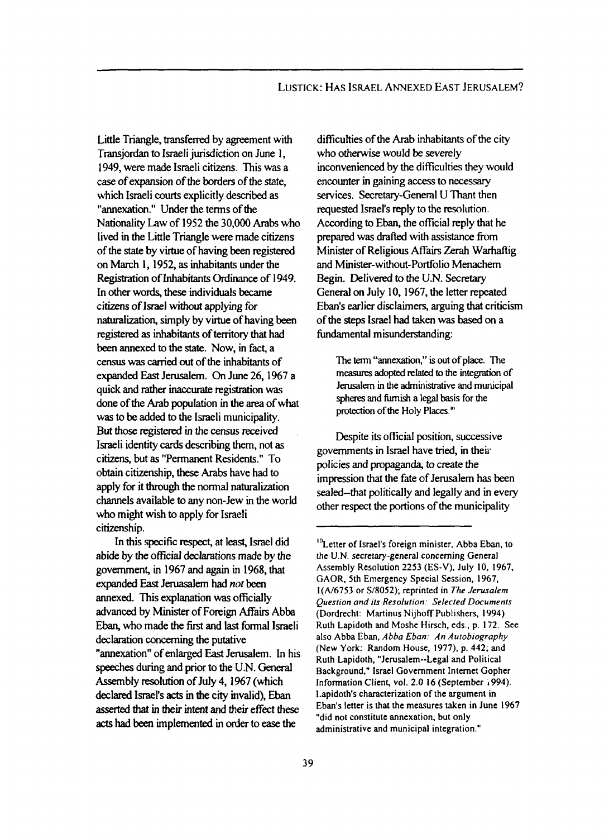Little Triangle, transferred by agreement with Transjordan to Israeli jurisdiction on June **1,**  1949, were made Israeli citizens. This was a *case* of expansion of the borders of the state, which Israeli **courts** explicitly described **as**  "annexation." Under the terms of the Nationality Law of 1952 the **30,000** Arabs who lived in the Little Triangle were made citizens of the **state** by virtue of having been registered on March 1,1952, **as** inhabitants under the Registration of Inhabitants Ordinance of 1949. In other **words,** these individuals became citizens of Israel without applying for naturalization, simply by virtue of having been registered **as** inhabitants of territory that had been annexed to the **state.** Now, in fact, a census was canied out of the inhabitants of expanded East Jerusalem. **On** June 26,1967 **a**  quick and rather inaccurate registration was done of the Arab population in the **area** of what was to be added to the Israeli municipality. But those registered in the census received Israeli identity cards describing them, not **as**  citizens, but **as** "Permanent Residents." To obtain citizenship, these **Arabs** have had to apply for it through the normal naturalization channels available to any non-Jew in the world who might wish to apply for Israeli citizenship.

In this specific **mpt,** at **least, Israel** did abide by the official declarations made by the government, in 1967 and **again** in 1968, that expanded East Jeruasalem had *nor* been annexed. This explanation was officially advanced by Minister of Foreign Affairs Abba **Eban,** who made the first and last formal Israeli declaration concerning the putative "annexation" of enlarged East Jerusalem. In his speeches during and prior to the U.N. *General*  Assembly **resolution** of July **4, I967** (which **declared Israel's** ads in **the** *city* invalid), Eban asserted that **in their intent** and their effect these ads had been implemented in **order** to ease **the** 

difficulties of the Arab inhabitants of the city who otherwise would be severely inconvenienced by the difficulties they would encounter in gaining access to necessary services. Secretary-General U Thant then requested Israel's reply to the resolution. According to Eban, the official reply that he prepared was drafted with assistance from Minister of Religious *Main* **Zerah** Warhaflig and **Minister-without-Portfolio** Menachem Begin. Delivered to the **U.N.** Secretary General on July 10,1967, the letter repeated **Eban's** earlier disclaimers, arguing that criticism of the **steps** Israel had taken was based on a findamental misunderstanding:

**'Ihe** term **"annexation," is** out **of place. ?he**  meaSureS adopted related **to the integration of Jerusalem in the administrative and municipal**  *spheres* **and** furnish **a legal basis for the pmte-ction of the Holy Places.'"** 

Despite its official position, successive governments in Israel have tried, in their policies and propaganda, to create the impression that the fate of Jerusalem has been sealed-that politically and legally and in every other respect the portions of the municipality

**Letter of Israel's foreign minister, Abba Eban. to I0 the U.N. secretary-general concerning General Assembly Resolution 2253 (ES-V), July 10, 1967, GAOR. 5th Emergency Special Session, 1967, I(N6753 or S/8052); reprinted in** *The Jerusalem Question and its Resolution: Selected Documents*  **(Dordrecht: Martinus Nijhoff Publishers, 1994) Ruth Lapidoth and Moshe Hirsch, eds., p. 172. See also Abba Eban.** *Abba Eban: An Autobiography*  **(New York: Random House, 1977). p. 442; and Ruth Lapidoth, "Jerusalem--Legal and Political Background," Israel Government Internet Gopher Information Client, vol. 2.0 16 (September i994). Lapidoth's characterization of the argument in Eban's letter is that the measures taken in June 1967 "did not constitute annexation. but only administrative and municipal integration."**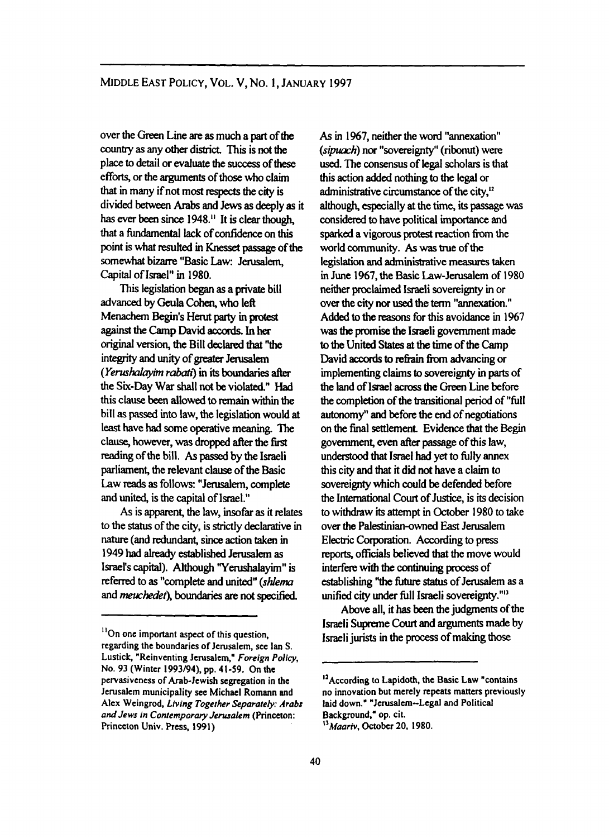over the *Green* Line *a~* **as** much **a part** of **the**  country **as** any other district This is **not the**  place to detail or evaluate the *success* of these efforts, or the arguments of those who claim that in many if not most respects the *city* is divided between *Arabs* and **Jews as** deeply **as** it has ever been **since 1948."** It is clear **though,**  that a fundamental **lack** of **confidence** on this point is what resulted in Knesset passage of the somewhat bizarre "Basic Law: Jerusalem, Capital of Israel" in **1980.** 

This legislation **began as** a private bill **advanced by** Geula Cohen, who left Menachem **Begds** Herut **party** in **protest against the** Camp Davidaccords. In **her original** version, the Bill declared **that** ''the integrity and unity of greater Jerusalem *(Yerushalayim rabati)* in its boundaries after the Six-Day **War** shall not be violated." **Had this** clause been allowed to main **within the**  bill **as** passed into law, the legislation would at least have had some operative **meaning.** The clause, however, was dropped **after** the **fifst**  reading of the bill. As passed by **the** Israeli parliament, the relevant clause of the Basic Law **reads as** follows: "Jerusalem, complete and united, is the **capital** of Israel."

**As** is apparent, the law, insofar **as it relates**  to the **status** of the city, is strictly declarative in **nature** (and redundant, since action taken in 1949 had already established Jerusalem as **Israel's capital).** Although **'Yerushalayim"** is referred to as "complete and united" (shlema and *meuchedet),* boundaries **are not specified.** 

As in **1967,** neither the word "annexation" *(sipuach)* nor "sovereignty" **(ribonut)** were used. The consensus of legal **scholars** is that this action **added** nothing to the legal or administrative **circumstance** of the city," although, especially *at* the **time,** its passage **was**  considered **to** have political **importance** and sparked **a** vigorous **protest reaction** from the world **community.** *As* was me of the legislation **and** administrative **measures** taken in June **1967,** the Basic Law-Jerusalem of **1980**  neither **proclaimed** Israeli sovereignty in or over the *city* nor used the term "annexation." Added to the **reasons** for this avoidance in **1967**  was the promise the Israeli govemment made to the United **States** *at* **the** time of the Camp David accords to refrain from advancing or implementing claims to sovereignty in parts of the land of Israel across the Green Line before the completion of the **transitional** period *of* "full autonomy" and before the end of negotiations on **the** final settlement Evidence that **the Begin**  government, even **after** passage of this law, understood that Israel had yet to fully annex this city and **that** it did **not** have **a claim** to sovereignty which could be defended before the **International** Court of **Justice,** is **its** decision to withdraw its attempt in **October 1980** to take over the Palestinian-owned **East** Jerusalem Electric Corporation. According to press reports, officials believed that the move would interfere with **the** continuing process of establishing "the future status of Jerusalem as a unified city under full Israeli sovereignty."<sup>13</sup>

Above all, it **has** been the judgments *of* the Israeli Supreme *court* and arguments made by Israeli **jurists** in the process of **making** those

<sup>&</sup>lt;sup>11</sup>On one important aspect of this question, **regarding the boundaries of Jerusalem, see Ian S.**  Lustick, "Reinventing Jerusalem," Foreign Policy, **No. 93 (Winter 1993/94), pp. 41-59. On the pervasiveness of Arab-Jewish segregation in the Jerusalem municipality** *see* **Michael Romann and Alex Weingrod,** *Living Together Separuiety: Arabs and Jews in Confemporary Jerusalem* **(Princeton: Princeton Univ. Press, 1991)** 

**<sup>&</sup>quot;According to Lapidoth, the Basic Law "contains no innovation but merely** repeats **matters previously laid down." "Jerusalem-Legal and Political Background," op. cit.** 

*<sup>&</sup>quot;Muariv,* **October 20, 1980.**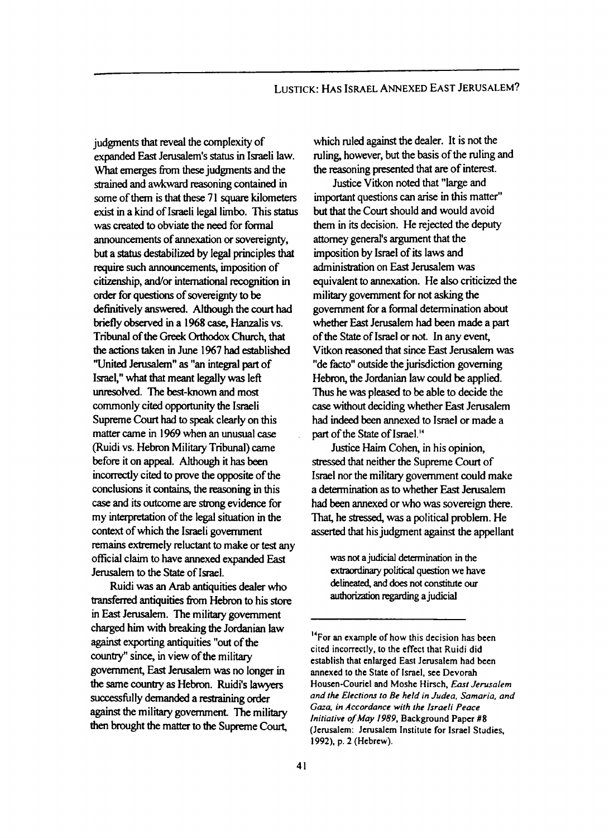## LUSTICK: **HAS** ISRAEL ANNEXED EAST JERUSALEM?

judgments that *meal* the complexity of expanded East Jerusalem's **status** in Israeli law. What emerges from these judgments and the strained and awkward reasoning contained in some of them is that these 7 1 *square* kilometers exist in a kind of Israeli legal limbo. This *status*  was created to obviate the need for formal announcements of annexation **or** sovereignty, but a *status* destabilized by legal principles **that**  require such announcements, imposition of citizenship, and/or international recognition in **order** for questions of sovereignty to be definitively answered. Although the *court* had briefly observed in a 1968 case, Hanzalis vs. Tribunal of **the** *Greek* Orthodox Church, that the actions taken in June 1967 had established "United Jerusalem" **as** "an integral **part** of Israel," what that meant legally was left unresolved. The **best-known** and most commonly cited opportunity the Israeli Supreme **Court** had to **speak** clearly on this matter came in 1969 when an unusual *case*  (Ruidi vs. Hebron Military Tribunal) came before it on *appeal.* Although it has been incorrectly cited to prove the opposite of the conclusions it contains, **the** reasoning in this *case* and its outcome are strong evidence for my interpretation of the legal situation in the context of which the Israeli government remains extremely reluctant to make or test any official claim to have annexed expanded East Jerusalem to the **State** of **Israel.** 

Ruidi was an Arab antiquities **dealer** who transferred antiquities from Hebron to his store in East Jerusalem. The military government charged him with breaking the Jordanian law against exporting antiquities "out of the country" since, in view of the military government, East Jenrsalem was no longer in **the** same *country* **as** Hebron. Ruidi's lawyen successfully demanded a restraining order **against** the military government The military then brought the matter to the Supreme Court,

which ruled **against** the dealer. It is not the ruling, however, but the basis of the ruling and the reasoning presented that are of interest.

Justice Vitkon noted that "large and important questions *can* **arise** in this matter" but that the **Court** should and would avoid them in its decision. He rejected the deputy attorney general's argument that the imposition by Israel of its laws and administration on East Jerusalem was equivalent to annexation. He also criticized the military government for not asking the govemment for a formal determination about whether East Jerusalem had been made a part of the **State** of Israel or not. In any event, Vitkon reasoned that *since* East Jerusalem was "de facto" outside the jurisdiction governing Hebron, the Jordanian law could be applied. **Thus** he was pleased to be able to decide the *case* without deciding whether East Jerusalem had indeed been annexed to Israel or made a part of the State of Israel."

Justice Haim Cohen, in his opinion, *sh'essed* that neither the Supreme Court of Israel nor the military government could make a determination **as** to whether East Jerusalem had been annexed or who was sovereign there. That, he *stressed,* was a political problem. He asserted that his judgment against the appellant

was **not a judicial** determination in the *exlmndhy* **political question** we have **delineated, and** does **not** constitute *our*  authorization regarding a judicial

**<sup>&</sup>quot;For an example of how this decision has been cited incorrectly, to the effect that Ruidi did establish that enlarged East Jerusalem had been annexed to the State of Israel, see Devorah Housen-Couriel and Moshc Hirsch,** *East Jerusalem and the Elections to Be held in Judea, Samaria, and Gaza, in Accordance with the Israeli Peace Initiative of May 1989,* **Background Paper #8 (Jerusalem: Jerusalem Institute for Israel Studies, 1992). p. 2 (Hebrew).**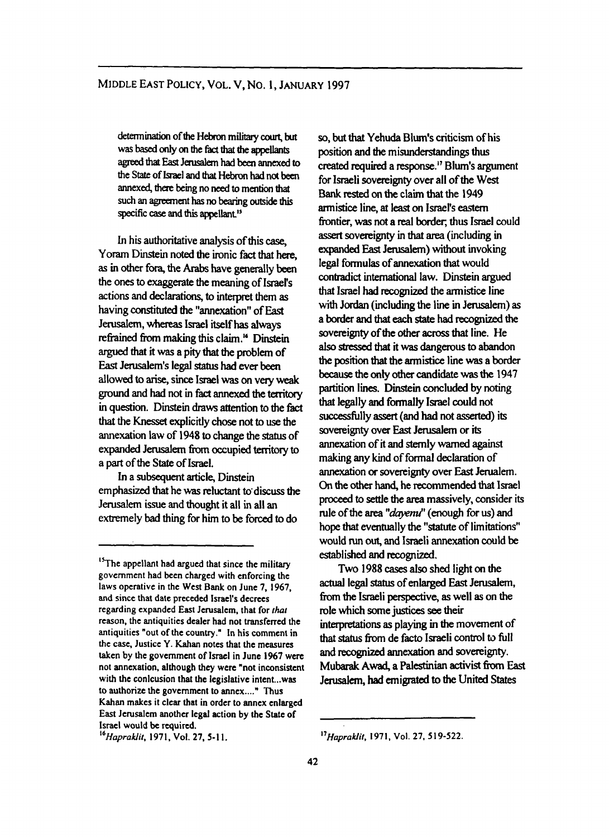determination of the Hebron military court, but wasbasedonly *on* **the** huthat **the** *appellants*  **agreedth East** Jerusalem **hadbeenannexedto the State of hael and that HebFon** had notbetn **annexed,** tfiere **being M need** *to* **mention** that **such an agreement** has **no bearing outside this specific** *case* **and this** appllant''

In his authoritative analysis of this case, Yoram **Dinstein** noted the ironic fact that here, **as** in other for4 the *Arabs* have generally been the **ones** to exaggerate the meaning of Israel's **actions** and declarations, to interpret them **as**  having constituted the "annexation" of East Jerusalem, whereas Israel itself **has** always refrained from making this claim.<sup>16</sup> Dinstein **argued** that it was a pity **that** the problem of East Jerusalem's legal *status* had ever been ground and had not in fact annexed **the** tenitory in question. Dinstein **draws** attention to the **fact**  that the Knesset explicitly chose not to use the annexation law of **1948** to change the *status* of expanded Jerusalem from occupied territory to a part of the **State** of Israel. allowed to **arise,** since **Israel was** *on* very weak

In **a** subsequent article, **Dinstein**  emphasized that he was reluctant to discuss the Jerusalem issue and thought it all in all an extremely bad thing for him to be forced to do

*so,* but that Yehuda **Blum's** criticism of his position and the misunderstandings thus created required a response." **Blum's** argument for Israeli sovereignty over all of the **West Bank rested** *on* the claim that the **1949**  armistice line, *a!* least on **Israel's** eastem frontier, was not a **real** border, thus Israel could assert sovereignty in that **area** (including in expanded East Jerusalem) without invoking legal formulas of annexation that would contradict international law. Dinstein argued **that** Israel had **recognized** the armistice line with Jordan (including the line in Jerusalem) **as**  a border **and that** *each state* had recognized rhe sovereignty of the other across that line. He **also** *ssessed* that it was dangerous to abandon **the position that** the armistice line was a **border**  because the **only** other candidate was **the 1947**  partition lines. Dinstein concluded by **noting**  that legally **and formally** Israel could not successfilly *assert* **(and** had not asserted) its sovereignty over East **Jenrsalem** or its annexation of it and stemly wamed **against**  making any kind of formal declaration of annexation or sovereignty over East Jerualem. *On* the **other hand,** he recommended **that** Israel proceed to settle the area massively, consider its rule of the area "*dayemu*" (enough for us) and hope that eventually the "statute of limitations" would **nm** out, and Israeli annexation could be established **and** recognized.

Two **1988** *casa* **also** shed light *on* the actual legal *status* of enlarged East Jerusalem, from the Israeli perspective, as well as on the role which some **justices** *see* their interpretations **as** playing in **the** movement of that status from de facto Israeli control to full<br>
and recognized annexation and sovereignty.<br>
Mubarak Awad, a Palestinian activist from East<br>
Ionisalm had amigmted to the United States and recognized annexation **and** sovereignty. Jerusalem, had emigrated to the United States

<sup>&</sup>lt;sup>3</sup>The appellant had argued that since the military government had been charged with enforcing the laws operative in the West Bank on June **7, 1967, and** since that date preceded Israel's decrees regarding expanded East Jerusalem, that for *that* reason, the antiquities dealer had not transferred the antiquities "out of the country." In his comment in the case, Justice Y. Kahan notes that the measures taken by the government of Israel in June 1967 were not annexation, although they **were** "not inconsistent with the conlcusion that the legislative intent...was to authorize the government **to** annex ...." Thus Kahan makes it clear that in order to annex enlarged East Jerusalem another legal action **by** the State of **Israel** would be required.

*<sup>16</sup>Hapraklit,* **1971,** Vol. **27, 5-1 1.** 

*<sup>17</sup>Hapraklit.* **1971. Vol. 27, 519-522.**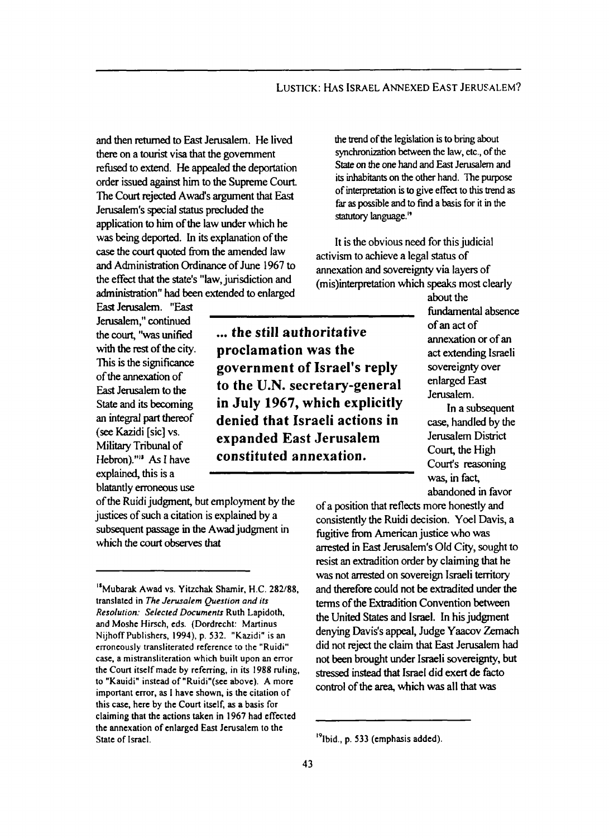and then returned to East Jerusalem. He lived there on a **tourist** visa that the government refused to extend. He appealed the deportation order issued against him to the Supreme Court-The Court rejected Awad's argument that East Jerusalem's special **status** precluded the application to him of the law under which he **was being** deported. In its explanation of the *case* the *court* quoted **hm** the amended law and Administration Ordinance of June 1967 to the effect that the **state's** "law, jurisdiction and administration" had been extended to enlarged

\_\_\_\_\_\_~ ~

... **the still authoritative proclamation was the** 

**government of Israel's reply to the U.N. secretary-general in July 1967, which explicitly denied that Israeli actions in expanded East Jerusalem constituted annexation.** 

East Jerusalem. "East Jerusalem," continued the **court,** "was unified with the rest of the city. This is the significance of the annexation of East Jerusalem to the **State** and its becoming an integral part thereof *(see* Kazidi [sic] vs. Military Tribunal of Hebron)."" **As I** have explained, this is a blatantly erroneous use

of the Ruidi judgment, but employment by the of a position that reflects more honestly and justices of such a citation is explained by a subsequent passage **in** the **Awad** judgment **in**  which the *court* **observes** that

the trend of the legislation is **to bring** about synchronization between the law, etc., of the *State on* the one **hand** and East Jerusalem and its **inhabitants** on the other hand. The purpose of **interpretation** is *to* give effect to **this** trend **as**  far **as** possible and *to* find a basis for it in the statutory language."

It is the obvious need for this judicial activism to achieve **a** legal **status** of annexation and sovereignty via layers of (mis)interpretation which speaks most clearly

> **about** the fundamental absence of an act of annexation or of an act extending Israeli sovereignty over enlarged East Jerusalem.

In a subsequent *case,* handled by the Jerusalem District Court, the High Court's reasoning was, in fact, abandoned in favor

consistently the Ruidi decision. **Yoel** Davis, a fugitive from American justice who was arrested in East Jerusalem's Old **City,** sought to resist an extradition order by claiming that he was not **arrested** on sovereign Israeli **temtory**  and therefore could not be extradited under the terms of the Extradition Convention between the United **States** and Israel. In his judgment did not reject the claim that East Jerusalem had not brought under Israeli sovereignty, but control of the **area,** which was all that was stressed instead that Israel did exert de facto

<sup>&</sup>quot;Mubarak Awad vs. Yitzchak Shamir, H.C. **282/88,**  translated in *The Jerusalem Question and its Resolution: Selected Documents* Ruth Lapidoth. and Moshe Hirsch, eds. (Dordrecht: Martinus erroneously transliterated reference to the "Ruidi" case, a mistransliteration which built upon an error the **court** itself made by referring, in its **1988** ruling. to "Kauidi" instead of "Ruidi"(see above). A more important error, **as** I have shown, is the citation of this case, here by the Court itself, **as** a basis for claiming that the actions taken in **1967** had effected the annexation of enlarged East Jerusalem to the State of Israel. nijhoff Publishers, 1994), p. 532. "Kazidi" is an **Davis's appeal, Judge Yaacov Zemach** 

**<sup>19</sup>**Ibid., p. **533** (emphasis added).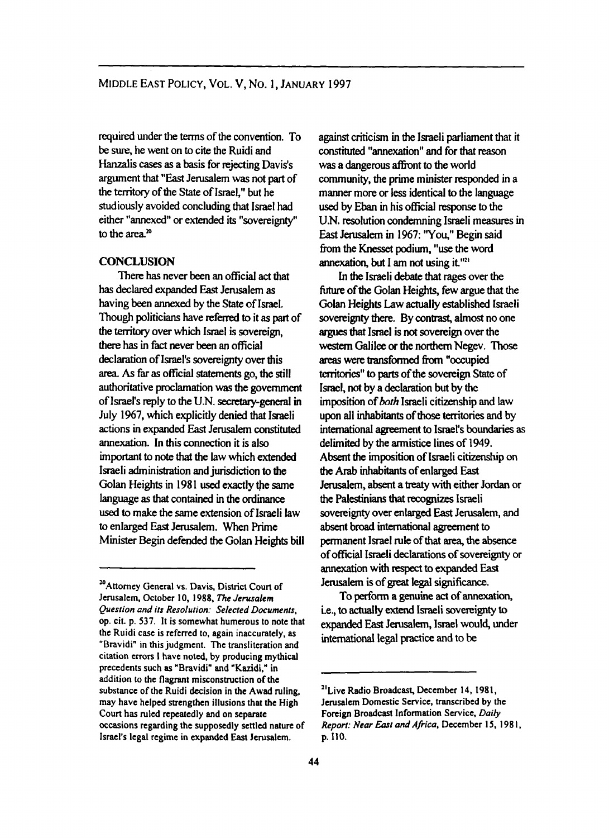**required** under the terms of the convention. To be **sure,** he went on to cite the Ruidi and Hanzalis *cases* **as a** basis for rejecting Davis's argument that "East Jerusalem **was** not **part** of the **temtory** of the State of Israel," but he studiously avoided concluding that Israel had either "annexed" or extended its "sovereignty" to the area.<sup>20</sup>

## **CONCLUSION**

has declared expanded East Jerusalem **as**  having been annexed by the State of **Istael. Though** politicians have **referred** to it **as part** of the tenitory over which Israel is sovereign, there **has** in fact never been an official declaration of Israel's sovereignty over this area. **As** far **as** official statements go, the still authoritative proclamation was the government of Israel's reply to the U.N. secretaty-general in July 1967, which explicitly denied that Israeli **actions** in expanded East Jerusalem constituted annexation. In this connection it is also important to note that the law which extended Israeli administration and jurisdiction to the Golan Heights in 1981 used exactly the same language **as** that contained in the **ordinance**  used to make the same extension of Israeli law to enlarged East Jerusalem. When Prime Minister **Begin** defended the Golan Heights bill There has never been an official *act* that

**against** criticism in the Israeli parliament that it constituted "annexation" and for that reason was a dangerous affront to the world community, the prime minister responded in a manner more or less identical to the language used by Eban in his official response to the U.N. resolution condemning Israeli measures in East Jerusalem in **1967: You,"** Begin said fiom the Knesset podium, "use the word annexation, but I am not using it."<sup>21</sup>

In **the** Israeli **debate** that rages over **the**  *firture* of **the Golan** Heights, few argue that the Golan Heights Law actually established Israeli sovereignty there. By contrast, almost no one **argues** tha! Israel is **not** sovereign over the westem Galilee *or* the northern Negev. Those areas were transformed from "occupied **territories"** to parts of the sovereign **State** of Israel, not by a declaration **but** by the imposition of *both* Israeli citizenship and law upon all inhabitants of those territories **and** by international agreement to Israel's boundaries **as**  delimited by the **armistice** lines of 1949. Absent the imposition of Israeli citizenship on the *Arab* **inhabitants** of enlarged East Jerusalem, absent **a treaty** with either Jordan or the Palestinians **that recognizes** Israeli sovereignty over enlarged East Jerusalem, and **absent** broad international agreement to permanent **Israel** rule of that **area, the** absence of official Israeli declarations of sovereignty or annexation with respect to expanded East Jenrsalem is of *great* legal significance.

i.e., to actually extend Israeli sovereignty to expanded East **Jerusalem,** Israel would, under international legal **practice** and to be To perfom **a** genuine **act** of annexation,

**Attorney General vs. Davis, District Court of** *<sup>20</sup>* **Jerusalem. October 10, 1988,** *The Jerusalem Question and its Resolution: Selected Documents,*  **op. cit. p. 537. It is somewhat humerous to note that the Ruidi case is referred to, again inaccurately, as "Bravidi" in this judgment. The transliteration and citation errors I have noted, by producing mythical precedents such as "Bravidi" and "Kazidi." in addition to the flagrant misconstruction of the substance of the Ruidi decision in the Awad ruling, may have helped strengthen illusions that the High Court has ruled repeatedly and on separate occasions regarding the supposedly settled nature of Israel's legal regime in expanded** East **Jerusalem.** 

**<sup>&</sup>quot;Live Radio Broadcast, December 14, 1981. Jerusalem Domestic Service. transcribed by the Foreign Broadcast Information Service.** *Daily Report: Near Earl and Afiica,* **December 15. 198 I, p. 110.**